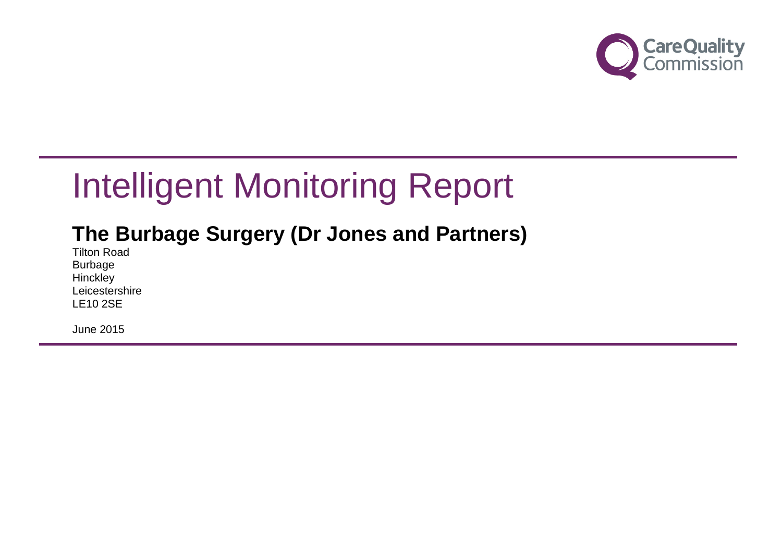

# Intelligent Monitoring Report

# **The Burbage Surgery (Dr Jones and Partners)**

Tilton Road Burbage **Hinckley Leicestershire** LE10 2SE

June 2015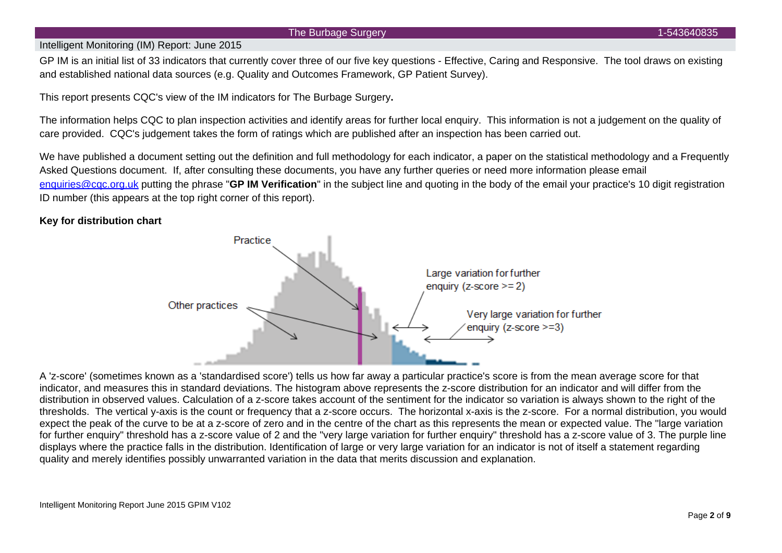#### The Burbage Surgery 1-543640835

### Intelligent Monitoring (IM) Report: June 2015

GP IM is an initial list of 33 indicators that currently cover three of our five key questions - Effective, Caring and Responsive. The tool draws on existing and established national data sources (e.g. Quality and Outcomes Framework, GP Patient Survey).

This report presents CQC's view of the IM indicators for The Burbage Surgery**.**

The information helps CQC to plan inspection activities and identify areas for further local enquiry. This information is not a judgement on the quality of care provided. CQC's judgement takes the form of ratings which are published after an inspection has been carried out.

We have published a document setting out the definition and full methodology for each indicator, a paper on the statistical methodology and a Frequently Asked Questions document. If, after consulting these documents, you have any further queries or need more information please email [enquiries@cqc.org.uk](mailto:enquiries@cqc.org.uk) putting the phrase "**GP IM Verification**" in the subject line and quoting in the body of the email your practice's 10 digit registration ID number (this appears at the top right corner of this report).

## **Key for distribution chart**



A 'z-score' (sometimes known as a 'standardised score') tells us how far away a particular practice's score is from the mean average score for that indicator, and measures this in standard deviations. The histogram above represents the z-score distribution for an indicator and will differ from the distribution in observed values. Calculation of a z-score takes account of the sentiment for the indicator so variation is always shown to the right of the thresholds. The vertical y-axis is the count or frequency that a z-score occurs. The horizontal x-axis is the z-score. For a normal distribution, you would expect the peak of the curve to be at a z-score of zero and in the centre of the chart as this represents the mean or expected value. The "large variation for further enquiry" threshold has a z-score value of 2 and the "very large variation for further enquiry" threshold has a z-score value of 3. The purple line displays where the practice falls in the distribution. Identification of large or very large variation for an indicator is not of itself a statement regarding quality and merely identifies possibly unwarranted variation in the data that merits discussion and explanation.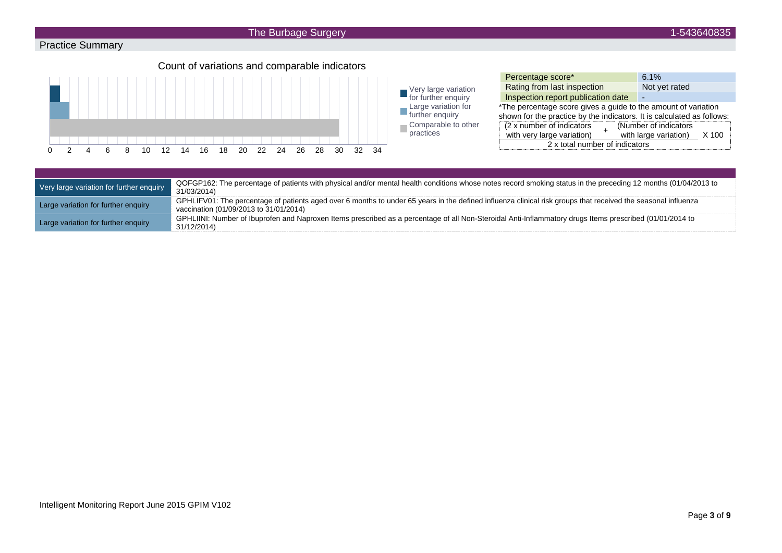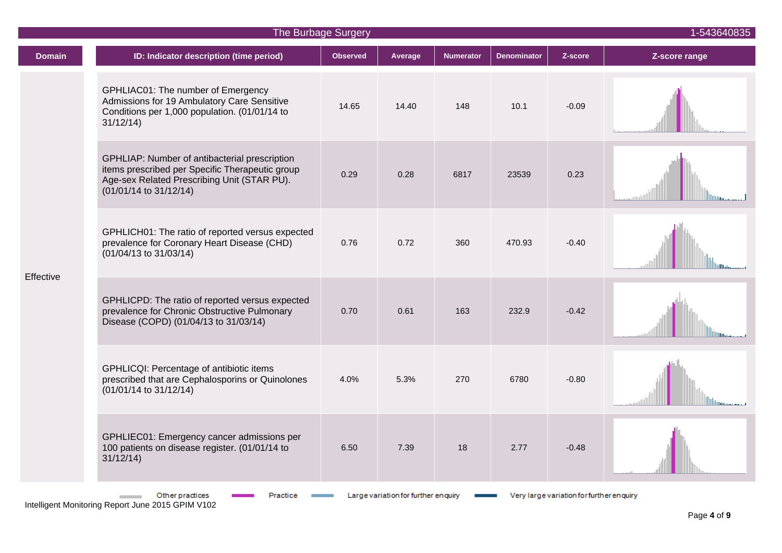| The Burbage Surgery |                                                                                                                                                                           |                 |                                     |                  |                    |                                          |               |  |
|---------------------|---------------------------------------------------------------------------------------------------------------------------------------------------------------------------|-----------------|-------------------------------------|------------------|--------------------|------------------------------------------|---------------|--|
| <b>Domain</b>       | ID: Indicator description (time period)                                                                                                                                   | <b>Observed</b> | Average                             | <b>Numerator</b> | <b>Denominator</b> | Z-score                                  | Z-score range |  |
| Effective           | GPHLIAC01: The number of Emergency<br>Admissions for 19 Ambulatory Care Sensitive<br>Conditions per 1,000 population. (01/01/14 to<br>31/12/14                            | 14.65           | 14.40                               | 148              | 10.1               | $-0.09$                                  |               |  |
|                     | GPHLIAP: Number of antibacterial prescription<br>items prescribed per Specific Therapeutic group<br>Age-sex Related Prescribing Unit (STAR PU).<br>(01/01/14 to 31/12/14) | 0.29            | 0.28                                | 6817             | 23539              | 0.23                                     |               |  |
|                     | GPHLICH01: The ratio of reported versus expected<br>prevalence for Coronary Heart Disease (CHD)<br>(01/04/13 to 31/03/14)                                                 | 0.76            | 0.72                                | 360              | 470.93             | $-0.40$                                  |               |  |
|                     | GPHLICPD: The ratio of reported versus expected<br>prevalence for Chronic Obstructive Pulmonary<br>Disease (COPD) (01/04/13 to 31/03/14)                                  | 0.70            | 0.61                                | 163              | 232.9              | $-0.42$                                  |               |  |
|                     | GPHLICQI: Percentage of antibiotic items<br>prescribed that are Cephalosporins or Quinolones<br>(01/01/14 to 31/12/14)                                                    | 4.0%            | 5.3%                                | 270              | 6780               | $-0.80$                                  |               |  |
|                     | GPHLIEC01: Emergency cancer admissions per<br>100 patients on disease register. (01/01/14 to<br>31/12/14                                                                  | 6.50            | 7.39                                | 18               | 2.77               | $-0.48$                                  |               |  |
|                     | Other practices<br>Practice                                                                                                                                               |                 | Large variation for further enquiry |                  |                    | Very large variation for further enquiry |               |  |

Intelligent Monitoring Report June 2015 GPIM V102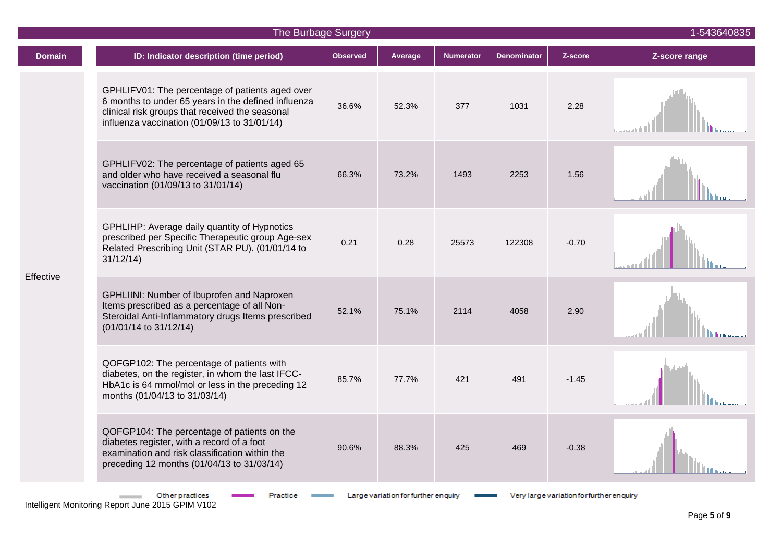|               | The Burbage Surgery                                                                                                                                                                                       |                 |                                     |                  |                    |                                          |               |  |
|---------------|-----------------------------------------------------------------------------------------------------------------------------------------------------------------------------------------------------------|-----------------|-------------------------------------|------------------|--------------------|------------------------------------------|---------------|--|
| <b>Domain</b> | ID: Indicator description (time period)                                                                                                                                                                   | <b>Observed</b> | Average                             | <b>Numerator</b> | <b>Denominator</b> | Z-score                                  | Z-score range |  |
| Effective     | GPHLIFV01: The percentage of patients aged over<br>6 months to under 65 years in the defined influenza<br>clinical risk groups that received the seasonal<br>influenza vaccination (01/09/13 to 31/01/14) | 36.6%           | 52.3%                               | 377              | 1031               | 2.28                                     |               |  |
|               | GPHLIFV02: The percentage of patients aged 65<br>and older who have received a seasonal flu<br>vaccination (01/09/13 to 31/01/14)                                                                         | 66.3%           | 73.2%                               | 1493             | 2253               | 1.56                                     |               |  |
|               | GPHLIHP: Average daily quantity of Hypnotics<br>prescribed per Specific Therapeutic group Age-sex<br>Related Prescribing Unit (STAR PU). (01/01/14 to<br>31/12/14                                         | 0.21            | 0.28                                | 25573            | 122308             | $-0.70$                                  |               |  |
|               | GPHLIINI: Number of Ibuprofen and Naproxen<br>Items prescribed as a percentage of all Non-<br>Steroidal Anti-Inflammatory drugs Items prescribed<br>(01/01/14 to 31/12/14)                                | 52.1%           | 75.1%                               | 2114             | 4058               | 2.90                                     |               |  |
|               | QOFGP102: The percentage of patients with<br>diabetes, on the register, in whom the last IFCC-<br>HbA1c is 64 mmol/mol or less in the preceding 12<br>months (01/04/13 to 31/03/14)                       | 85.7%           | 77.7%                               | 421              | 491                | $-1.45$                                  |               |  |
|               | QOFGP104: The percentage of patients on the<br>diabetes register, with a record of a foot<br>examination and risk classification within the<br>preceding 12 months (01/04/13 to 31/03/14)                 | 90.6%           | 88.3%                               | 425              | 469                | $-0.38$                                  |               |  |
|               | Other practices                                                                                                                                                                                           |                 | Large variation for further enquiry |                  |                    | Very large variation for further enquiry |               |  |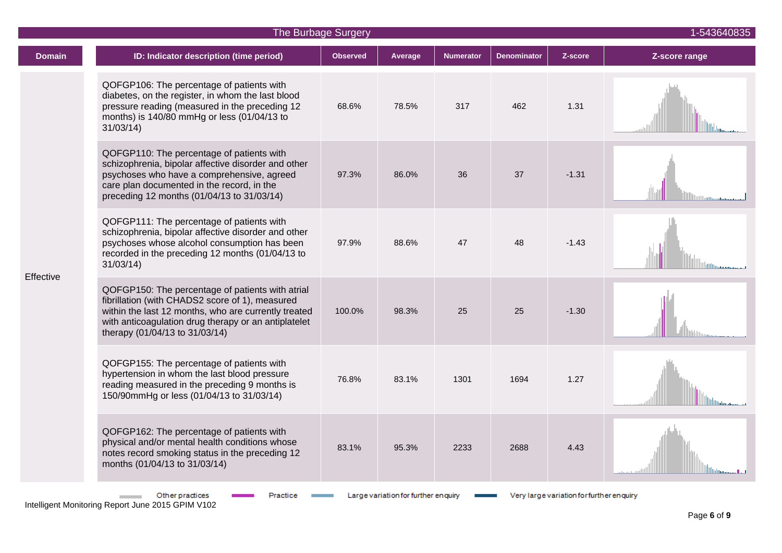| The Burbage Surgery |                                                                                                                                                                                                                                                       |                 |                                     |                  |                    |                                          |               |  |
|---------------------|-------------------------------------------------------------------------------------------------------------------------------------------------------------------------------------------------------------------------------------------------------|-----------------|-------------------------------------|------------------|--------------------|------------------------------------------|---------------|--|
| <b>Domain</b>       | ID: Indicator description (time period)                                                                                                                                                                                                               | <b>Observed</b> | Average                             | <b>Numerator</b> | <b>Denominator</b> | Z-score                                  | Z-score range |  |
| Effective           | QOFGP106: The percentage of patients with<br>diabetes, on the register, in whom the last blood<br>pressure reading (measured in the preceding 12<br>months) is 140/80 mmHg or less (01/04/13 to<br>31/03/14                                           | 68.6%           | 78.5%                               | 317              | 462                | 1.31                                     |               |  |
|                     | QOFGP110: The percentage of patients with<br>schizophrenia, bipolar affective disorder and other<br>psychoses who have a comprehensive, agreed<br>care plan documented in the record, in the<br>preceding 12 months (01/04/13 to 31/03/14)            | 97.3%           | 86.0%                               | 36               | 37                 | $-1.31$                                  |               |  |
|                     | QOFGP111: The percentage of patients with<br>schizophrenia, bipolar affective disorder and other<br>psychoses whose alcohol consumption has been<br>recorded in the preceding 12 months (01/04/13 to<br>31/03/14                                      | 97.9%           | 88.6%                               | 47               | 48                 | $-1.43$                                  |               |  |
|                     | QOFGP150: The percentage of patients with atrial<br>fibrillation (with CHADS2 score of 1), measured<br>within the last 12 months, who are currently treated<br>with anticoagulation drug therapy or an antiplatelet<br>therapy (01/04/13 to 31/03/14) | 100.0%          | 98.3%                               | 25               | 25                 | $-1.30$                                  |               |  |
|                     | QOFGP155: The percentage of patients with<br>hypertension in whom the last blood pressure<br>reading measured in the preceding 9 months is<br>150/90mmHg or less (01/04/13 to 31/03/14)                                                               | 76.8%           | 83.1%                               | 1301             | 1694               | 1.27                                     |               |  |
|                     | QOFGP162: The percentage of patients with<br>physical and/or mental health conditions whose<br>notes record smoking status in the preceding 12<br>months (01/04/13 to 31/03/14)                                                                       | 83.1%           | 95.3%                               | 2233             | 2688               | 4.43                                     |               |  |
|                     | Other practices<br>Practice                                                                                                                                                                                                                           |                 | Large variation for further enquiry |                  |                    | Very large variation for further enquiry |               |  |

Intelligent Monitoring Report June 2015 GPIM V102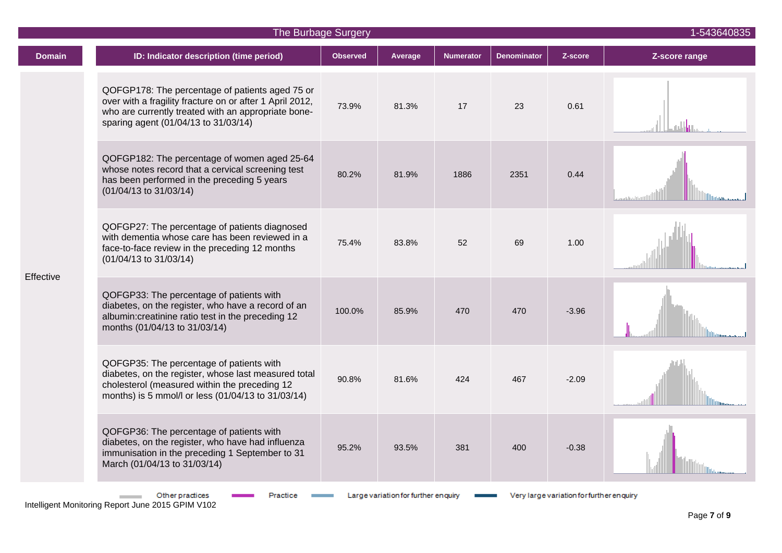|               | The Burbage Surgery                                                                                                                                                                                        | 1-543640835     |                                     |                  |                    |                                           |               |
|---------------|------------------------------------------------------------------------------------------------------------------------------------------------------------------------------------------------------------|-----------------|-------------------------------------|------------------|--------------------|-------------------------------------------|---------------|
| <b>Domain</b> | ID: Indicator description (time period)                                                                                                                                                                    | <b>Observed</b> | Average                             | <b>Numerator</b> | <b>Denominator</b> | Z-score                                   | Z-score range |
| Effective     | QOFGP178: The percentage of patients aged 75 or<br>over with a fragility fracture on or after 1 April 2012,<br>who are currently treated with an appropriate bone-<br>sparing agent (01/04/13 to 31/03/14) | 73.9%           | 81.3%                               | 17               | 23                 | 0.61                                      |               |
|               | QOFGP182: The percentage of women aged 25-64<br>whose notes record that a cervical screening test<br>has been performed in the preceding 5 years<br>(01/04/13 to 31/03/14)                                 | 80.2%           | 81.9%                               | 1886             | 2351               | 0.44                                      |               |
|               | QOFGP27: The percentage of patients diagnosed<br>with dementia whose care has been reviewed in a<br>face-to-face review in the preceding 12 months<br>(01/04/13 to 31/03/14)                               | 75.4%           | 83.8%                               | 52               | 69                 | 1.00                                      |               |
|               | QOFGP33: The percentage of patients with<br>diabetes, on the register, who have a record of an<br>albumin: creatinine ratio test in the preceding 12<br>months (01/04/13 to 31/03/14)                      | 100.0%          | 85.9%                               | 470              | 470                | $-3.96$                                   |               |
|               | QOFGP35: The percentage of patients with<br>diabetes, on the register, whose last measured total<br>cholesterol (measured within the preceding 12<br>months) is 5 mmol/l or less (01/04/13 to 31/03/14)    | 90.8%           | 81.6%                               | 424              | 467                | $-2.09$                                   |               |
|               | QOFGP36: The percentage of patients with<br>diabetes, on the register, who have had influenza<br>immunisation in the preceding 1 September to 31<br>March (01/04/13 to 31/03/14)                           | 95.2%           | 93.5%                               | 381              | 400                | $-0.38$                                   |               |
|               | Other practices                                                                                                                                                                                            |                 | Large variation for further enquiry |                  |                    | Very large variation for further en quiry |               |

Intelligent Monitoring Report June 2015 GPIM V102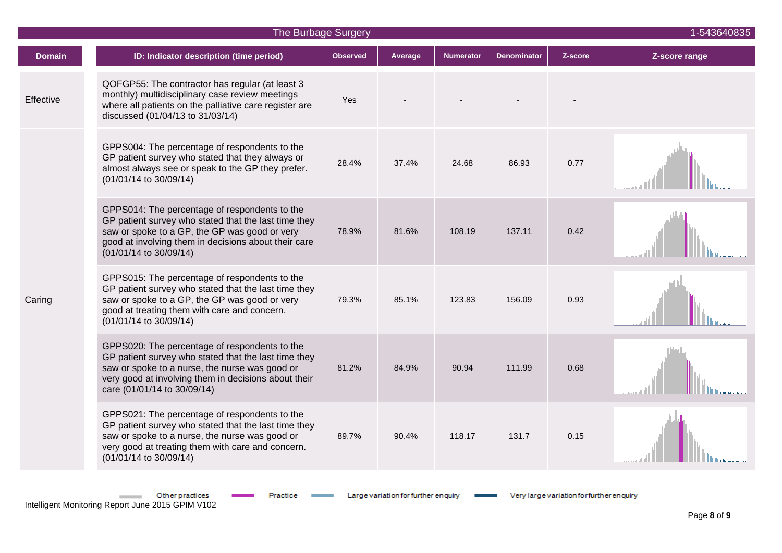| The Burbage Surgery |                                                                                                                                                                                                                                                |                 |         |                  |                    |         |               |  |
|---------------------|------------------------------------------------------------------------------------------------------------------------------------------------------------------------------------------------------------------------------------------------|-----------------|---------|------------------|--------------------|---------|---------------|--|
| <b>Domain</b>       | ID: Indicator description (time period)                                                                                                                                                                                                        | <b>Observed</b> | Average | <b>Numerator</b> | <b>Denominator</b> | Z-score | Z-score range |  |
| Effective           | QOFGP55: The contractor has regular (at least 3<br>monthly) multidisciplinary case review meetings<br>where all patients on the palliative care register are<br>discussed (01/04/13 to 31/03/14)                                               | Yes             |         |                  |                    |         |               |  |
| Caring              | GPPS004: The percentage of respondents to the<br>GP patient survey who stated that they always or<br>almost always see or speak to the GP they prefer.<br>(01/01/14 to 30/09/14)                                                               | 28.4%           | 37.4%   | 24.68            | 86.93              | 0.77    |               |  |
|                     | GPPS014: The percentage of respondents to the<br>GP patient survey who stated that the last time they<br>saw or spoke to a GP, the GP was good or very<br>good at involving them in decisions about their care<br>(01/01/14 to 30/09/14)       | 78.9%           | 81.6%   | 108.19           | 137.11             | 0.42    |               |  |
|                     | GPPS015: The percentage of respondents to the<br>GP patient survey who stated that the last time they<br>saw or spoke to a GP, the GP was good or very<br>good at treating them with care and concern.<br>(01/01/14 to 30/09/14)               | 79.3%           | 85.1%   | 123.83           | 156.09             | 0.93    |               |  |
|                     | GPPS020: The percentage of respondents to the<br>GP patient survey who stated that the last time they<br>saw or spoke to a nurse, the nurse was good or<br>very good at involving them in decisions about their<br>care (01/01/14 to 30/09/14) | 81.2%           | 84.9%   | 90.94            | 111.99             | 0.68    |               |  |
|                     | GPPS021: The percentage of respondents to the<br>GP patient survey who stated that the last time they<br>saw or spoke to a nurse, the nurse was good or<br>very good at treating them with care and concern.<br>(01/01/14 to 30/09/14)         | 89.7%           | 90.4%   | 118.17           | 131.7              | 0.15    |               |  |

Other practices

**Contract Contract** 

Practice Large variation for further enquiry **EXECUTE:** Very large variation for further enquiry